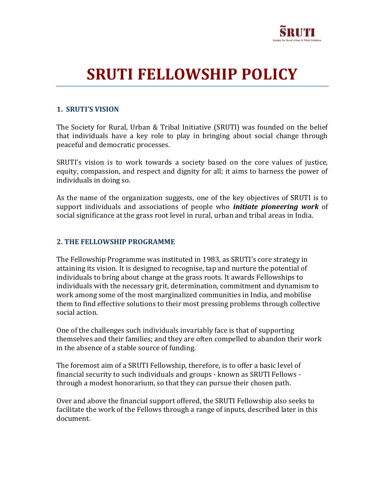

# SRUTI FELLOWSHIP POLICY

### 1. SRUTI'S VISION

The Society for Rural, Urban & Tribal Initiative (SRUTI) was founded on the belief that individuals have a key role to play in bringing about social change through peaceful and democratic processes.

SRUTI's vision is to work towards a society based on the core values of justice, equity, compassion, and respect and dignity for all; it aims to harness the power of individuals in doing so.

As the name of the organization suggests, one of the key objectives of SRUTI is to support individuals and associations of people who *initiate pioneering work* of social significance at the grass root level in rural, urban and tribal areas in India.

#### 2. THE FELLOWSHIP PROGRAMME

The Fellowship Programme was instituted in 1983, as SRUTI's core strategy in attaining its vision. It is designed to recognise, tap and nurture the potential of individuals to bring about change at the grass roots. It awards Fellowships to individuals with the necessary grit, determination, commitment and dynamism to work among some of the most marginalized communities in India, and mobilise them to find effective solutions to their most pressing problems through collective social action.

One of the challenges such individuals invariably face is that of supporting themselves and their families; and they are often compelled to abandon their work in the absence of a stable source of funding.

The foremost aim of a SRUTI Fellowship, therefore, is to offer a basic level of financial security to such individuals and groups - known as SRUTI Fellows through a modest honorarium, so that they can pursue their chosen path.

Over and above the financial support offered, the SRUTI Fellowship also seeks to facilitate the work of the Fellows through a range of inputs, described later in this document.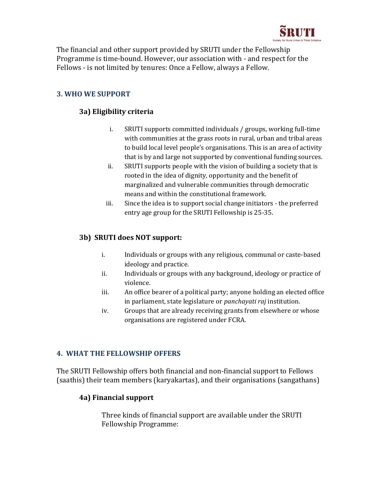

The financial and other support provided by SRUTI under the Fellowship Programme is time-bound. However, our association with - and respect for the Fellows - is not limited by tenures: Once a Fellow, always a Fellow.

## 3. WHO WE SUPPORT

## 3a) Eligibility criteria

- i. SRUTI supports committed individuals / groups, working full-time with communities at the grass roots in rural, urban and tribal areas to build local level people's organisations. This is an area of activity that is by and large not supported by conventional funding sources.
- ii. SRUTI supports people with the vision of building a society that is rooted in the idea of dignity, opportunity and the benefit of marginalized and vulnerable communities through democratic means and within the constitutional framework.
- iii. Since the idea is to support social change initiators the preferred entry age group for the SRUTI Fellowship is 25-35.

#### 3b) SRUTI does NOT support:

- i. Individuals or groups with any religious, communal or caste-based ideology and practice.
- ii. Individuals or groups with any background, ideology or practice of violence.
- iii. An office bearer of a political party; anyone holding an elected office in parliament, state legislature or panchayati raj institution.
- iv. Groups that are already receiving grants from elsewhere or whose organisations are registered under FCRA.

#### 4. WHAT THE FELLOWSHIP OFFERS

The SRUTI Fellowship offers both financial and non-financial support to Fellows (saathis) their team members (karyakartas), and their organisations (sangathans)

#### 4a) Financial support

Three kinds of financial support are available under the SRUTI Fellowship Programme: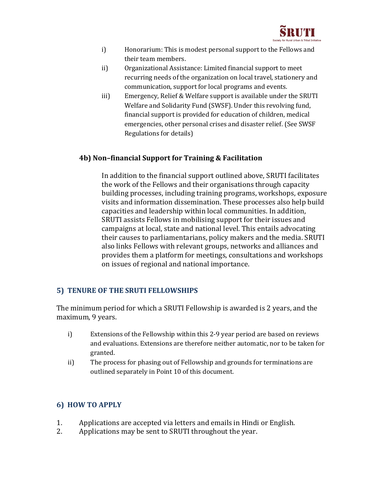

- i) Honorarium: This is modest personal support to the Fellows and their team members.
- ii) Organizational Assistance: Limited financial support to meet recurring needs of the organization on local travel, stationery and communication, support for local programs and events.
- iii) Emergency, Relief & Welfare support is available under the SRUTI Welfare and Solidarity Fund (SWSF). Under this revolving fund, financial support is provided for education of children, medical emergencies, other personal crises and disaster relief. (See SWSF Regulations for details)

#### 4b) Non–financial Support for Training & Facilitation

In addition to the financial support outlined above, SRUTI facilitates the work of the Fellows and their organisations through capacity building processes, including training programs, workshops, exposure visits and information dissemination. These processes also help build capacities and leadership within local communities. In addition, SRUTI assists Fellows in mobilising support for their issues and campaigns at local, state and national level. This entails advocating their causes to parliamentarians, policy makers and the media. SRUTI also links Fellows with relevant groups, networks and alliances and provides them a platform for meetings, consultations and workshops on issues of regional and national importance.

#### 5) TENURE OF THE SRUTI FELLOWSHIPS

The minimum period for which a SRUTI Fellowship is awarded is 2 years, and the maximum, 9 years.

- i) Extensions of the Fellowship within this 2-9 year period are based on reviews and evaluations. Extensions are therefore neither automatic, nor to be taken for granted.
- ii) The process for phasing out of Fellowship and grounds for terminations are outlined separately in Point 10 of this document.

#### 6) HOW TO APPLY

- 1. Applications are accepted via letters and emails in Hindi or English.
- 2. Applications may be sent to SRUTI throughout the year.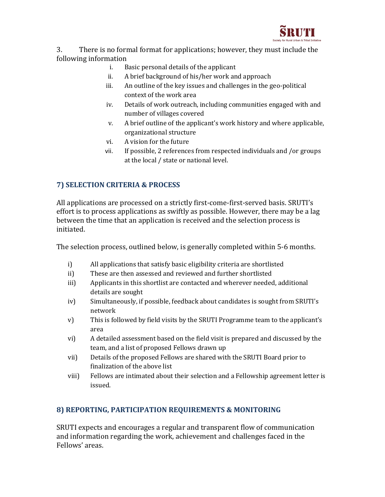

3. There is no formal format for applications; however, they must include the following information

- i. Basic personal details of the applicant
- ii. A brief background of his/her work and approach
- iii. An outline of the key issues and challenges in the geo-political context of the work area
- iv. Details of work outreach, including communities engaged with and number of villages covered
- v. A brief outline of the applicant's work history and where applicable, organizational structure
- vi. A vision for the future
- vii. If possible, 2 references from respected individuals and /or groups at the local / state or national level.

## 7) SELECTION CRITERIA & PROCESS

All applications are processed on a strictly first-come-first-served basis. SRUTI's effort is to process applications as swiftly as possible. However, there may be a lag between the time that an application is received and the selection process is initiated.

The selection process, outlined below, is generally completed within 5-6 months.

- i) All applications that satisfy basic eligibility criteria are shortlisted
- ii) These are then assessed and reviewed and further shortlisted
- iii) Applicants in this shortlist are contacted and wherever needed, additional details are sought
- iv) Simultaneously, if possible, feedback about candidates is sought from SRUTI's network
- v) This is followed by field visits by the SRUTI Programme team to the applicant's area
- vi) A detailed assessment based on the field visit is prepared and discussed by the team, and a list of proposed Fellows drawn up
- vii) Details of the proposed Fellows are shared with the SRUTI Board prior to finalization of the above list
- viii) Fellows are intimated about their selection and a Fellowship agreement letter is issued.

## 8) REPORTING, PARTICIPATION REQUIREMENTS & MONITORING

SRUTI expects and encourages a regular and transparent flow of communication and information regarding the work, achievement and challenges faced in the Fellows' areas.